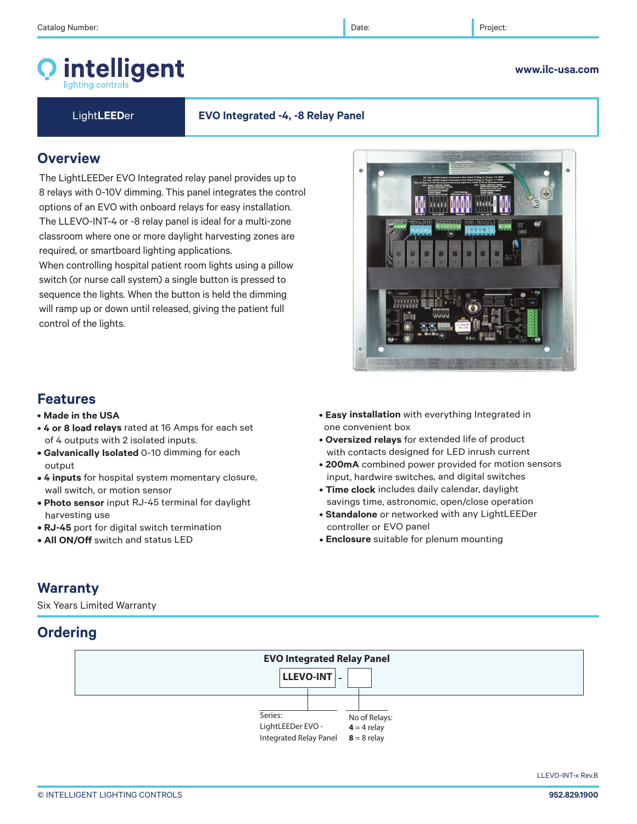# intelligent

Light**LEED**er **EVO Integrated -4, -8 Relay Panel**

 $\bullet$ 

## **Overview**

The LightLEEDer EVO Integrated relay panel provides up to 8 relays with 0-10V dimming. This panel integrates the control options of an EVO with onboard relays for easy installation. The LLEVO-INT-4 or -8 relay panel is ideal for a multi-zone classroom where one or more daylight harvesting zones are required, or smartboard lighting applications.

When controlling hospital patient room lights using a pillow switch (or nurse call system) a single button is pressed to sequence the lights. When the button is held the dimming will ramp up or down until released, giving the patient full control of the lights.

## **Features**

- **Made in the USA**
- **4 or 8 load relays** rated at 16 Amps for each set of 4 outputs with 2 isolated inputs.
- **Galvanically Isolated** 0-10 dimming for each output
- **4 inputs** for hospital system momentary closure, wall switch, or motion sensor
- **Photo sensor** input RJ-45 terminal for daylight harvesting use
- **RJ-45** port for digital switch termination
- **All ON/Off** switch and status LED
- **Easy installation** with everything Integrated in one convenient box
- **Oversized relays** for extended life of product with contacts designed for LED inrush current
- **200mA** combined power provided for motion sensors input, hardwire switches, and digital switches
- **Time clock** includes daily calendar, daylight savings time, astronomic, open/close operation
- **Standalone** or networked with any LightLEEDer controller or EVO panel
- **Enclosure** suitable for plenum mounting

## **Warranty**

Six Years Limited Warranty

## **Ordering**